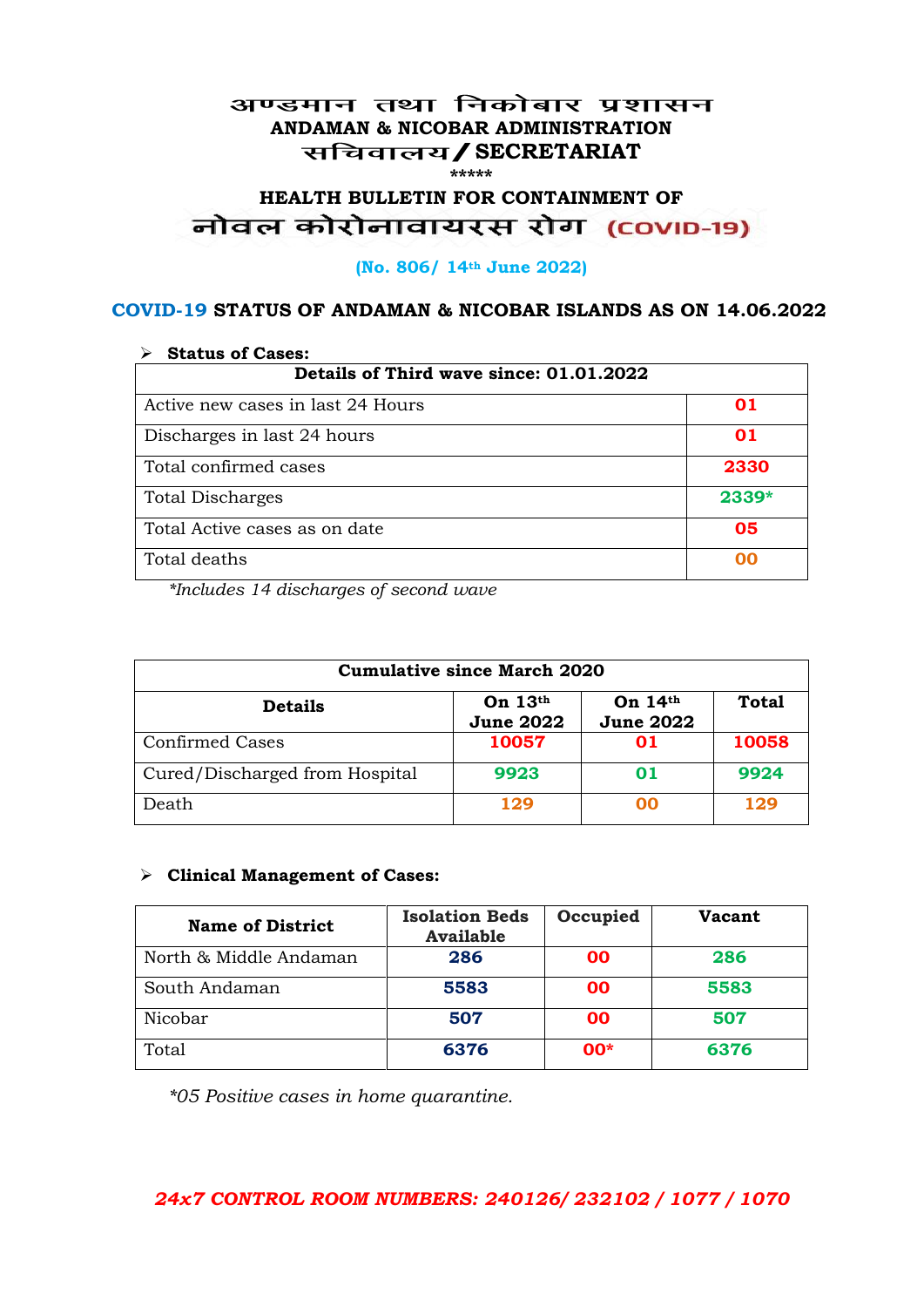#### अण्डमान तथा निकोबार प्रशासन **ANDAMAN & NICOBAR ADMINISTRATION /SECRETARIAT \*\*\*\*\***

# HEALTH BULLETIN FOR CONTAINMENT OF<br>बोवल कोरोनावायरस रोग (COVID-19)

#### **(No. 806/ 14th June 2022)**

#### **COVID-19 STATUS OF ANDAMAN & NICOBAR ISLANDS AS ON 14.06.2022**

| <b>Status of Cases:</b>                 |       |  |
|-----------------------------------------|-------|--|
| Details of Third wave since: 01.01.2022 |       |  |
| Active new cases in last 24 Hours       | 01    |  |
| Discharges in last 24 hours             | 01    |  |
| Total confirmed cases                   | 2330  |  |
| <b>Total Discharges</b>                 | 2339* |  |
| Total Active cases as on date           | 05    |  |
| Total deaths                            | OO    |  |

*\*Includes 14 discharges of second wave*

| <b>Cumulative since March 2020</b> |                               |                               |              |
|------------------------------------|-------------------------------|-------------------------------|--------------|
| <b>Details</b>                     | On $13th$<br><b>June 2022</b> | On $14th$<br><b>June 2022</b> | <b>Total</b> |
| <b>Confirmed Cases</b>             | 10057                         | 01                            | 10058        |
| Cured/Discharged from Hospital     | 9923                          | 01                            | 9924         |
| Death                              | 129                           | ററ                            | 129          |

#### **Clinical Management of Cases:**

| <b>Name of District</b> | <b>Isolation Beds</b><br><b>Available</b> | Occupied  | Vacant |
|-------------------------|-------------------------------------------|-----------|--------|
| North & Middle Andaman  | 286                                       | <b>OO</b> | 286    |
| South Andaman           | 5583                                      | <b>OO</b> | 5583   |
| Nicobar                 | 507                                       | <b>OO</b> | 507    |
| Total                   | 6376                                      | $00*$     | 6376   |

*\*05 Positive cases in home quarantine.*

#### *24x7 CONTROL ROOM NUMBERS: 240126/ 232102 / 1077 / 1070*